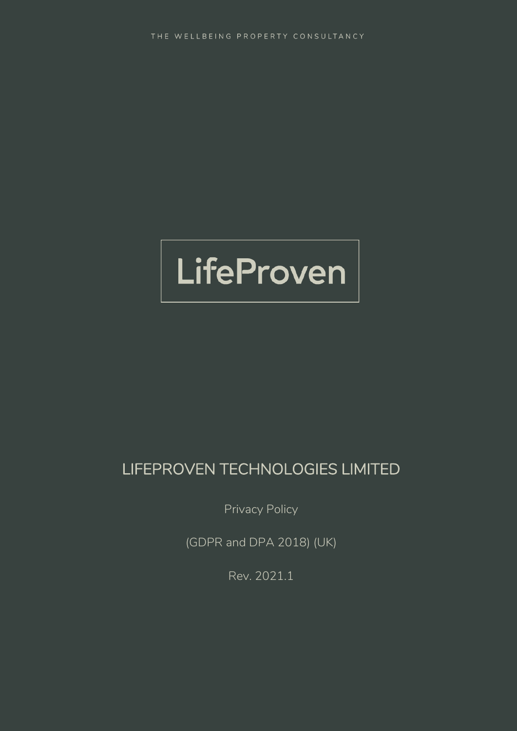

# LIFEPROVEN TECHNOLOGIES LIMITED

Privacy Policy

(GDPR and DPA 2018) (UK)

Rev. 2021.1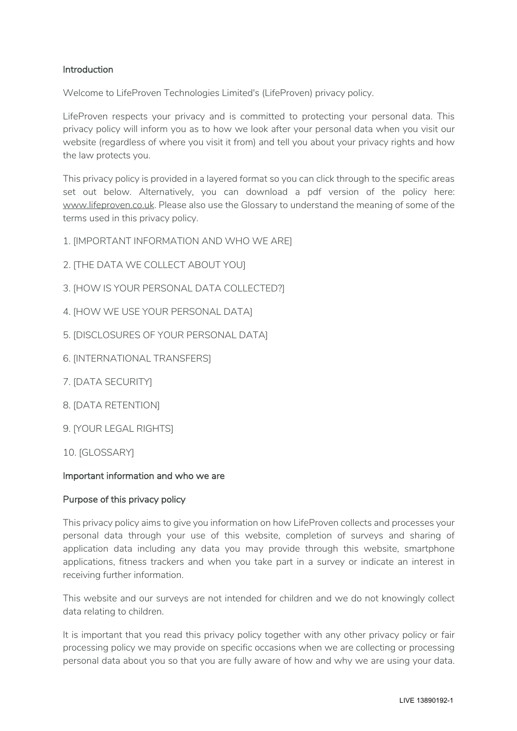# Introduction

Welcome to LifeProven Technologies Limited's (LifeProven) privacy policy.

LifeProven respects your privacy and is committed to protecting your personal data. This privacy policy will inform you as to how we look after your personal data when you visit our website (regardless of where you visit it from) and tell you about your privacy rights and how the law protects you.

This privacy policy is provided in a layered format so you can click through to the specific areas set out below. Alternatively, you can download a pdf version of the policy here: www.lifeproven.co.uk. Please also use the Glossary to understand the meaning of some of the terms used in this privacy policy.

- 1. [IMPORTANT INFORMATION AND WHO WE ARE]
- 2. [THE DATA WE COLLECT ABOUT YOU]
- 3. [HOW IS YOUR PERSONAL DATA COLLECTED?]
- 4. [HOW WE USE YOUR PERSONAL DATA]
- 5. [DISCLOSURES OF YOUR PERSONAL DATA]
- 6. [INTERNATIONAL TRANSFERS]
- 7. [DATA SECURITY]
- 8. [DATA RETENTION]
- 9. [YOUR LEGAL RIGHTS]
- 10. [GLOSSARY]

# Important information and who we are

# Purpose of this privacy policy

This privacy policy aims to give you information on how LifeProven collects and processes your personal data through your use of this website, completion of surveys and sharing of application data including any data you may provide through this website, smartphone applications, fitness trackers and when you take part in a survey or indicate an interest in receiving further information.

This website and our surveys are not intended for children and we do not knowingly collect data relating to children.

It is important that you read this privacy policy together with any other privacy policy or fair processing policy we may provide on specific occasions when we are collecting or processing personal data about you so that you are fully aware of how and why we are using your data.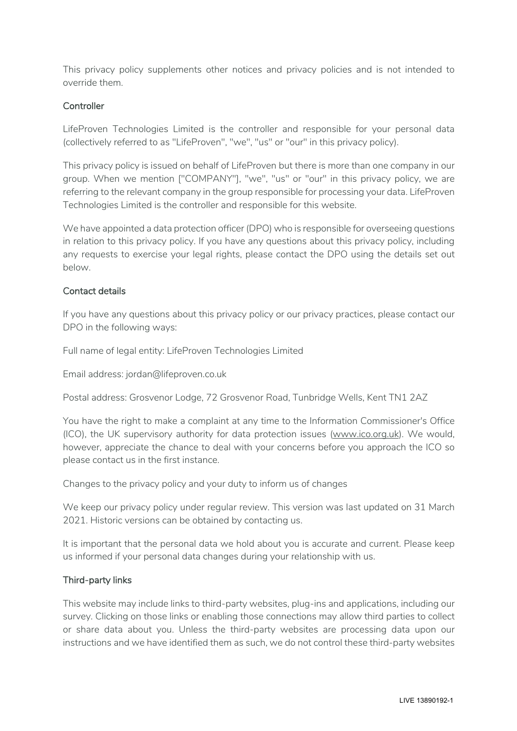This privacy policy supplements other notices and privacy policies and is not intended to override them.

# **Controller**

LifeProven Technologies Limited is the controller and responsible for your personal data (collectively referred to as "LifeProven", "we", "us" or "our" in this privacy policy).

This privacy policy is issued on behalf of LifeProven but there is more than one company in our group. When we mention ["COMPANY"], "we", "us" or "our" in this privacy policy, we are referring to the relevant company in the group responsible for processing your data. LifeProven Technologies Limited is the controller and responsible for this website.

We have appointed a data protection officer (DPO) who is responsible for overseeing questions in relation to this privacy policy. If you have any questions about this privacy policy, including any requests to exercise your legal rights, please contact the DPO using the details set out below.

# Contact details

If you have any questions about this privacy policy or our privacy practices, please contact our DPO in the following ways:

Full name of legal entity: LifeProven Technologies Limited

Email address: jordan@lifeproven.co.uk

Postal address: Grosvenor Lodge, 72 Grosvenor Road, Tunbridge Wells, Kent TN1 2AZ

You have the right to make a complaint at any time to the Information Commissioner's Office (ICO), the UK supervisory authority for data protection issues (www.ico.org.uk). We would, however, appreciate the chance to deal with your concerns before you approach the ICO so please contact us in the first instance.

Changes to the privacy policy and your duty to inform us of changes

We keep our privacy policy under regular review. This version was last updated on 31 March 2021. Historic versions can be obtained by contacting us.

It is important that the personal data we hold about you is accurate and current. Please keep us informed if your personal data changes during your relationship with us.

# Third-party links

This website may include links to third-party websites, plug-ins and applications, including our survey. Clicking on those links or enabling those connections may allow third parties to collect or share data about you. Unless the third-party websites are processing data upon our instructions and we have identified them as such, we do not control these third-party websites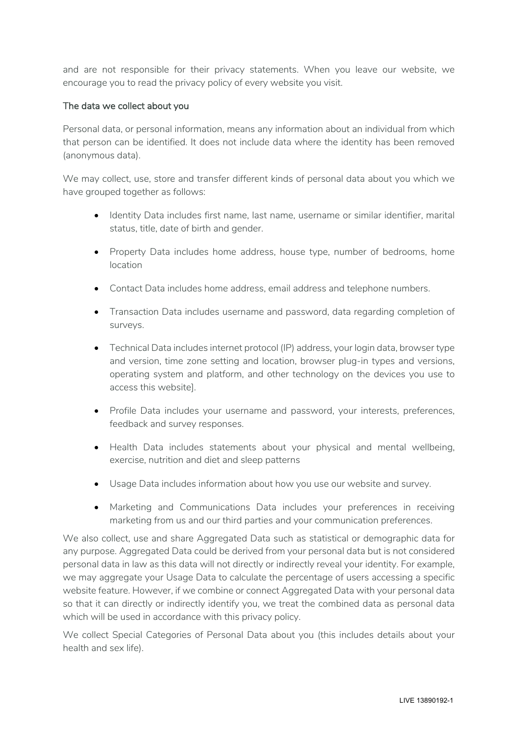and are not responsible for their privacy statements. When you leave our website, we encourage you to read the privacy policy of every website you visit.

# The data we collect about you

Personal data, or personal information, means any information about an individual from which that person can be identified. It does not include data where the identity has been removed (anonymous data).

We may collect, use, store and transfer different kinds of personal data about you which we have grouped together as follows:

- Identity Data includes first name, last name, username or similar identifier, marital status, title, date of birth and gender.
- Property Data includes home address, house type, number of bedrooms, home location
- Contact Data includes home address, email address and telephone numbers.
- Transaction Data includes username and password, data regarding completion of surveys.
- Technical Data includes internet protocol (IP) address, your login data, browser type and version, time zone setting and location, browser plug-in types and versions, operating system and platform, and other technology on the devices you use to access this website].
- Profile Data includes your username and password, your interests, preferences, feedback and survey responses.
- Health Data includes statements about your physical and mental wellbeing, exercise, nutrition and diet and sleep patterns
- Usage Data includes information about how you use our website and survey.
- Marketing and Communications Data includes your preferences in receiving marketing from us and our third parties and your communication preferences.

We also collect, use and share Aggregated Data such as statistical or demographic data for any purpose. Aggregated Data could be derived from your personal data but is not considered personal data in law as this data will not directly or indirectly reveal your identity. For example, we may aggregate your Usage Data to calculate the percentage of users accessing a specific website feature. However, if we combine or connect Aggregated Data with your personal data so that it can directly or indirectly identify you, we treat the combined data as personal data which will be used in accordance with this privacy policy.

We collect Special Categories of Personal Data about you (this includes details about your health and sex life).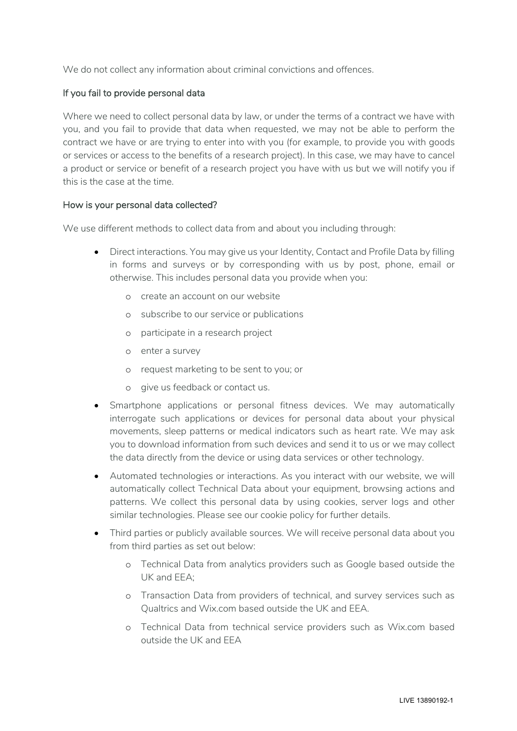We do not collect any information about criminal convictions and offences.

# If you fail to provide personal data

Where we need to collect personal data by law, or under the terms of a contract we have with you, and you fail to provide that data when requested, we may not be able to perform the contract we have or are trying to enter into with you (for example, to provide you with goods or services or access to the benefits of a research project). In this case, we may have to cancel a product or service or benefit of a research project you have with us but we will notify you if this is the case at the time.

# How is your personal data collected?

We use different methods to collect data from and about you including through:

- Direct interactions. You may give us your Identity, Contact and Profile Data by filling in forms and surveys or by corresponding with us by post, phone, email or otherwise. This includes personal data you provide when you:
	- o create an account on our website
	- o subscribe to our service or publications
	- o participate in a research project
	- o enter a survey
	- o request marketing to be sent to you; or
	- o give us feedback or contact us.
- Smartphone applications or personal fitness devices. We may automatically interrogate such applications or devices for personal data about your physical movements, sleep patterns or medical indicators such as heart rate. We may ask you to download information from such devices and send it to us or we may collect the data directly from the device or using data services or other technology.
- Automated technologies or interactions. As you interact with our website, we will automatically collect Technical Data about your equipment, browsing actions and patterns. We collect this personal data by using cookies, server logs and other similar technologies. Please see our cookie policy for further details.
- Third parties or publicly available sources. We will receive personal data about you from third parties as set out below:
	- o Technical Data from analytics providers such as Google based outside the UK and EEA;
	- o Transaction Data from providers of technical, and survey services such as Qualtrics and Wix.com based outside the UK and EEA.
	- o Technical Data from technical service providers such as Wix.com based outside the UK and EEA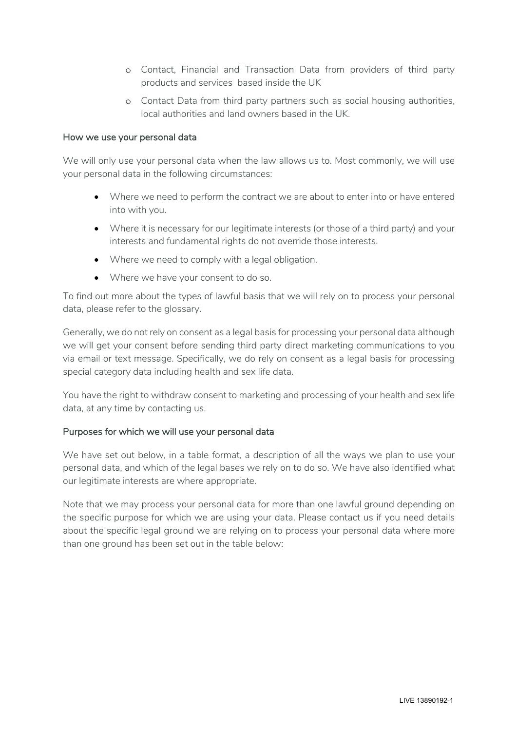- o Contact, Financial and Transaction Data from providers of third party products and services based inside the UK
- o Contact Data from third party partners such as social housing authorities, local authorities and land owners based in the UK.

### How we use your personal data

We will only use your personal data when the law allows us to. Most commonly, we will use your personal data in the following circumstances:

- Where we need to perform the contract we are about to enter into or have entered into with you.
- Where it is necessary for our legitimate interests (or those of a third party) and your interests and fundamental rights do not override those interests.
- Where we need to comply with a legal obligation.
- Where we have your consent to do so.

To find out more about the types of lawful basis that we will rely on to process your personal data, please refer to the glossary.

Generally, we do not rely on consent as a legal basis for processing your personal data although we will get your consent before sending third party direct marketing communications to you via email or text message. Specifically, we do rely on consent as a legal basis for processing special category data including health and sex life data.

You have the right to withdraw consent to marketing and processing of your health and sex life data, at any time by contacting us.

# Purposes for which we will use your personal data

We have set out below, in a table format, a description of all the ways we plan to use your personal data, and which of the legal bases we rely on to do so. We have also identified what our legitimate interests are where appropriate.

Note that we may process your personal data for more than one lawful ground depending on the specific purpose for which we are using your data. Please contact us if you need details about the specific legal ground we are relying on to process your personal data where more than one ground has been set out in the table below: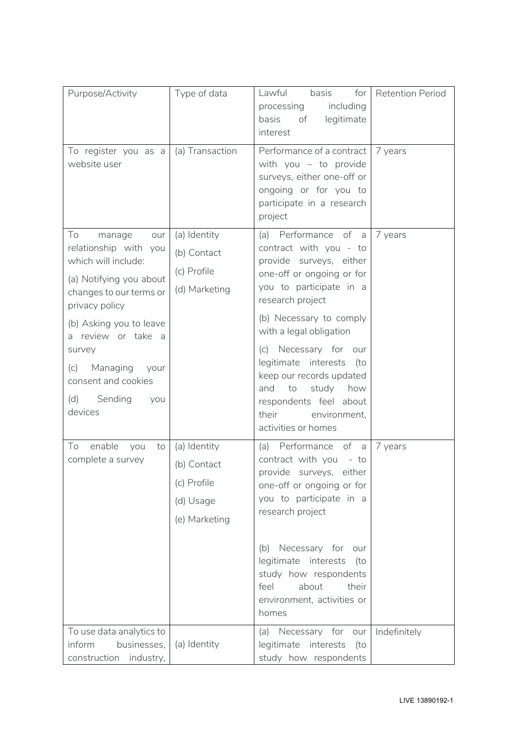| Purpose/Activity                                                                                                                                                                                                                                                                                | Type of data                                                             | Lawful<br>basis<br>for<br>processing<br>including<br>basis<br>legitimate<br>of<br>interest                                                                                                                                                                                                                                                                                                             | <b>Retention Period</b> |
|-------------------------------------------------------------------------------------------------------------------------------------------------------------------------------------------------------------------------------------------------------------------------------------------------|--------------------------------------------------------------------------|--------------------------------------------------------------------------------------------------------------------------------------------------------------------------------------------------------------------------------------------------------------------------------------------------------------------------------------------------------------------------------------------------------|-------------------------|
| To register you as a<br>website user                                                                                                                                                                                                                                                            | (a) Transaction                                                          | Performance of a contract<br>with you $-$ to provide<br>surveys, either one-off or<br>ongoing or for you to<br>participate in a research<br>project                                                                                                                                                                                                                                                    | 7 years                 |
| To<br>manage<br>our<br>relationship with you<br>which will include:<br>(a) Notifying you about<br>changes to our terms or<br>privacy policy<br>(b) Asking you to leave<br>review or take a<br>a<br>survey<br>Managing<br>(c)<br>vour<br>consent and cookies<br>Sending<br>(d)<br>you<br>devices | (a) Identity<br>(b) Contact<br>(c) Profile<br>(d) Marketing              | (a) Performance of a<br>contract with you - to<br>provide surveys, either<br>one-off or ongoing or for<br>you to participate in a<br>research project<br>(b) Necessary to comply<br>with a legal obligation<br>(c) Necessary for our<br>legitimate interests<br>(to<br>keep our records updated<br>study<br>how<br>and<br>to<br>respondents feel about<br>their<br>environment,<br>activities or homes | 7 years                 |
| To<br>enable<br>you<br>to<br>complete a survey                                                                                                                                                                                                                                                  | (a) Identity<br>(b) Contact<br>(c) Profile<br>(d) Usage<br>(e) Marketing | Performance of a<br>(a)<br>contract with you - to<br>provide surveys, either<br>one-off or ongoing or for<br>you to participate in a<br>research project<br>(b) Necessary for our<br>legitimate interests<br>(to<br>study how respondents<br>about<br>feel<br>their<br>environment, activities or<br>homes                                                                                             | 7 years                 |
| To use data analytics to<br>inform<br>businesses,<br>construction industry,                                                                                                                                                                                                                     | (a) Identity                                                             | (a) Necessary for our<br>legitimate interests<br>(to<br>study how respondents                                                                                                                                                                                                                                                                                                                          | Indefinitely            |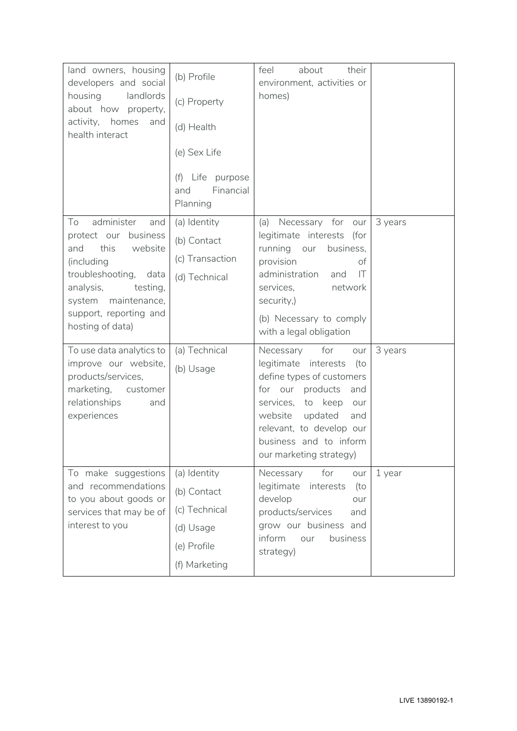| land owners, housing<br>developers and social<br>housing<br>landlords<br>about how property,<br>activity, homes<br>and<br>health interact                                                                                                                                | (b) Profile<br>(c) Property<br>(d) Health<br>(e) Sex Life<br>Life purpose<br>(f)<br>Financial<br>and<br>Planning | feel<br>about<br>their<br>environment, activities or<br>homes)                                                                                                                                                                                                                                      |                    |
|--------------------------------------------------------------------------------------------------------------------------------------------------------------------------------------------------------------------------------------------------------------------------|------------------------------------------------------------------------------------------------------------------|-----------------------------------------------------------------------------------------------------------------------------------------------------------------------------------------------------------------------------------------------------------------------------------------------------|--------------------|
| administer<br>To<br>and<br>protect our<br>business<br>this<br>website<br>and<br>(including<br>troubleshooting,<br>data<br>analysis,<br>testing,<br>system maintenance,<br>support, reporting and<br>hosting of data)<br>To use data analytics to<br>improve our website, | (a) Identity<br>(b) Contact<br>(c) Transaction<br>(d) Technical<br>(a) Technical<br>(b) Usage                    | Necessary for<br>(a)<br>our<br>legitimate interests<br>(for<br>running<br>business,<br>our<br>provision<br>of<br>administration<br> T <br>and<br>services,<br>network<br>security,)<br>(b) Necessary to comply<br>with a legal obligation<br>for<br>Necessary<br>our<br>legitimate interests<br>(to | 3 years<br>3 years |
| products/services,<br>marketing,<br>customer<br>relationships<br>and<br>experiences                                                                                                                                                                                      |                                                                                                                  | define types of customers<br>for our products<br>and<br>to keep<br>services,<br>our<br>updated<br>website<br>and<br>relevant, to develop our<br>business and to inform<br>our marketing strategy)                                                                                                   |                    |
| To make suggestions<br>and recommendations<br>to you about goods or<br>services that may be of<br>interest to you                                                                                                                                                        | (a) Identity<br>(b) Contact<br>(c) Technical<br>(d) Usage<br>(e) Profile<br>(f) Marketing                        | for<br>Necessary<br>our<br>legitimate<br>interests<br>(to<br>develop<br>our<br>products/services<br>and<br>grow our business and<br>inform<br>business<br>our<br>strategy)                                                                                                                          | 1 year             |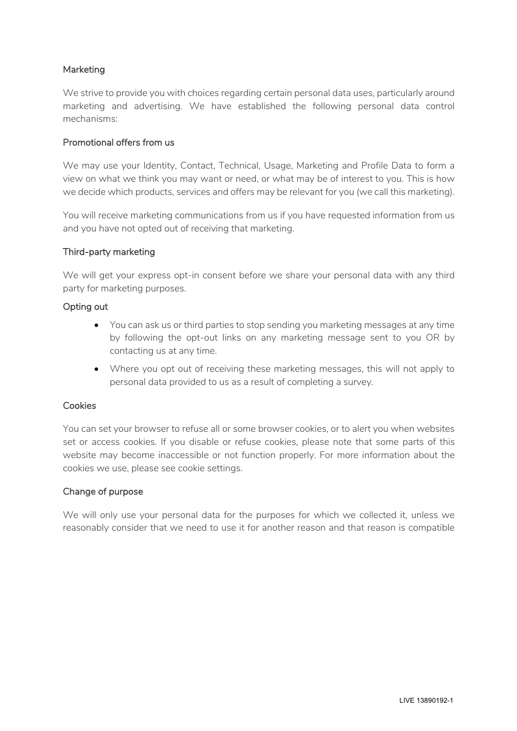# Marketing

We strive to provide you with choices regarding certain personal data uses, particularly around marketing and advertising. We have established the following personal data control mechanisms:

#### Promotional offers from us

We may use your Identity, Contact, Technical, Usage, Marketing and Profile Data to form a view on what we think you may want or need, or what may be of interest to you. This is how we decide which products, services and offers may be relevant for you (we call this marketing).

You will receive marketing communications from us if you have requested information from us and you have not opted out of receiving that marketing.

#### Third-party marketing

We will get your express opt-in consent before we share your personal data with any third party for marketing purposes.

#### Opting out

- You can ask us or third parties to stop sending you marketing messages at any time by following the opt-out links on any marketing message sent to you OR by contacting us at any time.
- Where you opt out of receiving these marketing messages, this will not apply to personal data provided to us as a result of completing a survey.

### Cookies

You can set your browser to refuse all or some browser cookies, or to alert you when websites set or access cookies. If you disable or refuse cookies, please note that some parts of this website may become inaccessible or not function properly. For more information about the cookies we use, please see cookie settings.

#### Change of purpose

We will only use your personal data for the purposes for which we collected it, unless we reasonably consider that we need to use it for another reason and that reason is compatible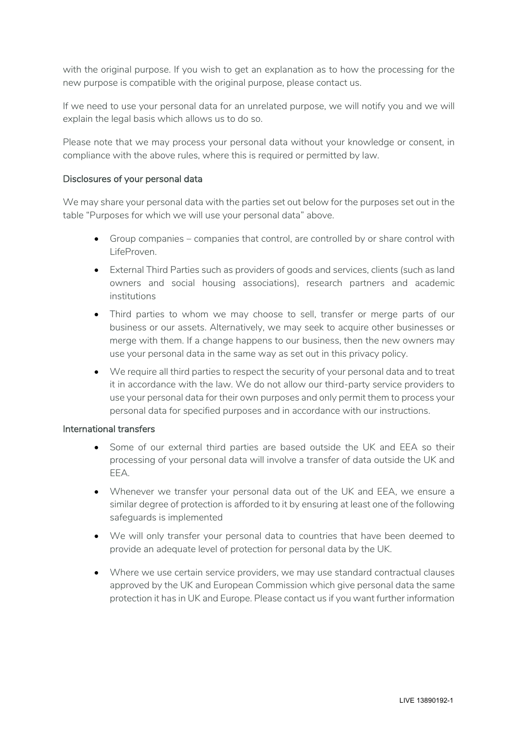with the original purpose. If you wish to get an explanation as to how the processing for the new purpose is compatible with the original purpose, please contact us.

If we need to use your personal data for an unrelated purpose, we will notify you and we will explain the legal basis which allows us to do so.

Please note that we may process your personal data without your knowledge or consent, in compliance with the above rules, where this is required or permitted by law.

#### Disclosures of your personal data

We may share your personal data with the parties set out below for the purposes set out in the table "Purposes for which we will use your personal data" above.

- Group companies companies that control, are controlled by or share control with LifeProven.
- External Third Parties such as providers of goods and services, clients (such as land owners and social housing associations), research partners and academic institutions
- Third parties to whom we may choose to sell, transfer or merge parts of our business or our assets. Alternatively, we may seek to acquire other businesses or merge with them. If a change happens to our business, then the new owners may use your personal data in the same way as set out in this privacy policy.
- We require all third parties to respect the security of your personal data and to treat it in accordance with the law. We do not allow our third-party service providers to use your personal data for their own purposes and only permit them to process your personal data for specified purposes and in accordance with our instructions.

#### International transfers

- Some of our external third parties are based outside the UK and EEA so their processing of your personal data will involve a transfer of data outside the UK and EEA.
- Whenever we transfer your personal data out of the UK and EEA, we ensure a similar degree of protection is afforded to it by ensuring at least one of the following safeguards is implemented
- We will only transfer your personal data to countries that have been deemed to provide an adequate level of protection for personal data by the UK.
- Where we use certain service providers, we may use standard contractual clauses approved by the UK and European Commission which give personal data the same protection it has in UK and Europe. Please contact us if you want further information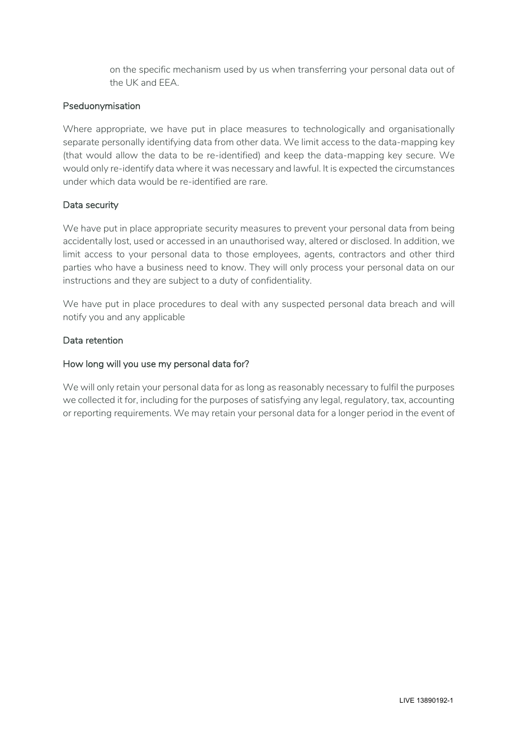on the specific mechanism used by us when transferring your personal data out of the UK and EEA.

# Pseduonymisation

Where appropriate, we have put in place measures to technologically and organisationally separate personally identifying data from other data. We limit access to the data-mapping key (that would allow the data to be re-identified) and keep the data-mapping key secure. We would only re-identify data where it was necessary and lawful. It is expected the circumstances under which data would be re-identified are rare.

# Data security

We have put in place appropriate security measures to prevent your personal data from being accidentally lost, used or accessed in an unauthorised way, altered or disclosed. In addition, we limit access to your personal data to those employees, agents, contractors and other third parties who have a business need to know. They will only process your personal data on our instructions and they are subject to a duty of confidentiality.

We have put in place procedures to deal with any suspected personal data breach and will notify you and any applicable

# Data retention

# How long will you use my personal data for?

We will only retain your personal data for as long as reasonably necessary to fulfil the purposes we collected it for, including for the purposes of satisfying any legal, regulatory, tax, accounting or reporting requirements. We may retain your personal data for a longer period in the event of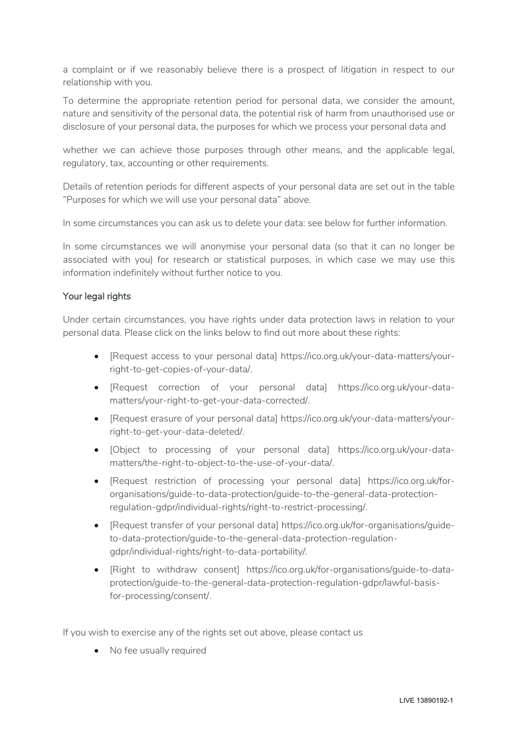a complaint or if we reasonably believe there is a prospect of litigation in respect to our relationship with you.

To determine the appropriate retention period for personal data, we consider the amount, nature and sensitivity of the personal data, the potential risk of harm from unauthorised use or disclosure of your personal data, the purposes for which we process your personal data and

whether we can achieve those purposes through other means, and the applicable legal, regulatory, tax, accounting or other requirements.

Details of retention periods for different aspects of your personal data are set out in the table "Purposes for which we will use your personal data" above.

In some circumstances you can ask us to delete your data: see below for further information.

In some circumstances we will anonymise your personal data (so that it can no longer be associated with you) for research or statistical purposes, in which case we may use this information indefinitely without further notice to you.

# Your legal rights

Under certain circumstances, you have rights under data protection laws in relation to your personal data. Please click on the links below to find out more about these rights:

- [Request access to your personal data] https://ico.org.uk/your-data-matters/yourright-to-get-copies-of-your-data/.
- [Request correction of your personal data] https://ico.org.uk/your-datamatters/your-right-to-get-your-data-corrected/.
- [Request erasure of your personal data] https://ico.org.uk/your-data-matters/yourright-to-get-your-data-deleted/.
- [Object to processing of your personal data] https://ico.org.uk/your-datamatters/the-right-to-object-to-the-use-of-your-data/.
- [Request restriction of processing your personal data] https://ico.org.uk/fororganisations/guide-to-data-protection/guide-to-the-general-data-protectionregulation-gdpr/individual-rights/right-to-restrict-processing/.
- [Request transfer of your personal data] https://ico.org.uk/for-organisations/guideto-data-protection/guide-to-the-general-data-protection-regulationgdpr/individual-rights/right-to-data-portability/.
- [Right to withdraw consent] https://ico.org.uk/for-organisations/guide-to-dataprotection/guide-to-the-general-data-protection-regulation-gdpr/lawful-basisfor-processing/consent/.

If you wish to exercise any of the rights set out above, please contact us

• No fee usually required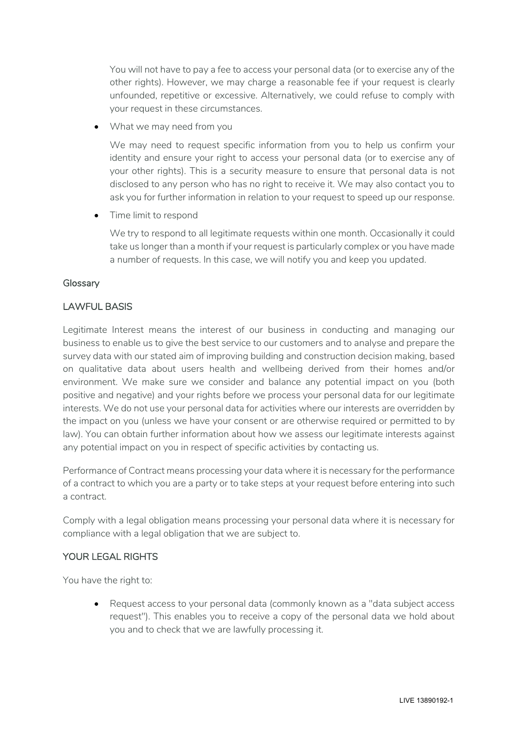You will not have to pay a fee to access your personal data (or to exercise any of the other rights). However, we may charge a reasonable fee if your request is clearly unfounded, repetitive or excessive. Alternatively, we could refuse to comply with your request in these circumstances.

What we may need from you

We may need to request specific information from you to help us confirm your identity and ensure your right to access your personal data (or to exercise any of your other rights). This is a security measure to ensure that personal data is not disclosed to any person who has no right to receive it. We may also contact you to ask you for further information in relation to your request to speed up our response.

• Time limit to respond

We try to respond to all legitimate requests within one month. Occasionally it could take us longer than a month if your request is particularly complex or you have made a number of requests. In this case, we will notify you and keep you updated.

# Glossary

# LAWFUL BASIS

Legitimate Interest means the interest of our business in conducting and managing our business to enable us to give the best service to our customers and to analyse and prepare the survey data with our stated aim of improving building and construction decision making, based on qualitative data about users health and wellbeing derived from their homes and/or environment. We make sure we consider and balance any potential impact on you (both positive and negative) and your rights before we process your personal data for our legitimate interests. We do not use your personal data for activities where our interests are overridden by the impact on you (unless we have your consent or are otherwise required or permitted to by law). You can obtain further information about how we assess our legitimate interests against any potential impact on you in respect of specific activities by contacting us.

Performance of Contract means processing your data where it is necessary for the performance of a contract to which you are a party or to take steps at your request before entering into such a contract.

Comply with a legal obligation means processing your personal data where it is necessary for compliance with a legal obligation that we are subject to.

# YOUR LEGAL RIGHTS

You have the right to:

• Request access to your personal data (commonly known as a "data subject access request"). This enables you to receive a copy of the personal data we hold about you and to check that we are lawfully processing it.